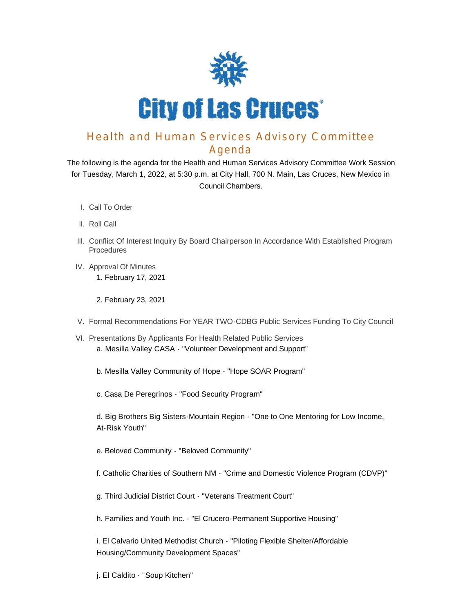

## Health and Human Services Advisory Committee Agenda

The following is the agenda for the Health and Human Services Advisory Committee Work Session for Tuesday, March 1, 2022, at 5:30 p.m. at City Hall, 700 N. Main, Las Cruces, New Mexico in Council Chambers.

- l. Call To Order
- II. Roll Call
- III. Conflict Of Interest Inquiry By Board Chairperson In Accordance With Established Program Procedures
- IV. Approval Of Minutes 1. February 17, 2021
	- 2. February 23, 2021
- V. Formal Recommendations For YEAR TWO-CDBG Public Services Funding To City Council
- VI. Presentations By Applicants For Health Related Public Services a. Mesilla Valley CASA - "Volunteer Development and Support"
	- b. Mesilla Valley Community of Hope "Hope SOAR Program"
	- c. Casa De Peregrinos "Food Security Program"

d. Big Brothers Big Sisters-Mountain Region - "One to One Mentoring for Low Income, At-Risk Youth"

- e. Beloved Community "Beloved Community"
- f. Catholic Charities of Southern NM "Crime and Domestic Violence Program (CDVP)"
- g. Third Judicial District Court "Veterans Treatment Court"
- h. Families and Youth Inc. "El Crucero-Permanent Supportive Housing"

i. El Calvario United Methodist Church - "Piloting Flexible Shelter/Affordable Housing/Community Development Spaces"

j. El Caldito - "Soup Kitchen"